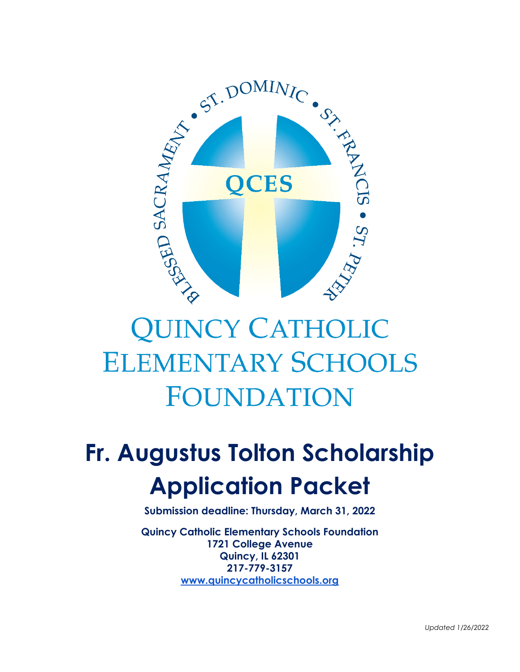

# **QUINCY CATHOLIC ELEMENTARY SCHOOLS** FOUNDATION

# **Fr. Augustus Tolton Scholarship Application Packet**

**Submission deadline: Thursday, March 31, 2022**

**Quincy Catholic Elementary Schools Foundation 1721 College Avenue Quincy, IL 62301 217-779-3157 [www.quincycatholicschools.org](http://www.quincycatholicschools.org/)**

*Updated 1/26/2022*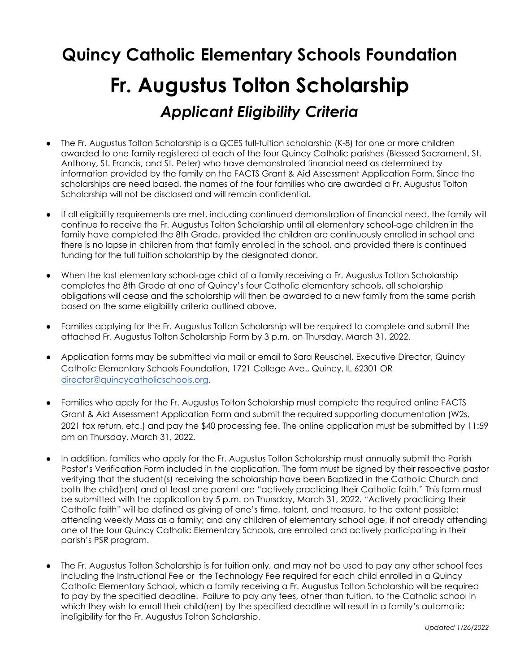## **Quincy Catholic Elementary Schools Foundation Fr. Augustus Tolton Scholarship** *Applicant Eligibility Criteria*

- The Fr. Augustus Tolton Scholarship is a QCES full-tuition scholarship (K-8) for one or more children awarded to one family registered at each of the four Quincy Catholic parishes (Blessed Sacrament, St. Anthony, St. Francis, and St. Peter) who have demonstrated financial need as determined by information provided by the family on the FACTS Grant & Aid Assessment Application Form. Since the scholarships are need based, the names of the four families who are awarded a Fr. Augustus Tolton Scholarship will not be disclosed and will remain confidential.
- If all eligibility requirements are met, including continued demonstration of financial need, the family will continue to receive the Fr. Augustus Tolton Scholarship until all elementary school-age children in the family have completed the 8th Grade, provided the children are continuously enrolled in school and there is no lapse in children from that family enrolled in the school, and provided there is continued funding for the full tuition scholarship by the designated donor.
- When the last elementary school-age child of a family receiving a Fr. Augustus Tolton Scholarship completes the 8th Grade at one of Quincy's four Catholic elementary schools, all scholarship obligations will cease and the scholarship will then be awarded to a new family from the same parish based on the same eligibility criteria outlined above.
- Families applying for the Fr. Augustus Tolton Scholarship will be required to complete and submit the attached Fr. Augustus Tolton Scholarship Form by 3 p.m. on Thursday, March 31, 2022.
- Application forms may be submitted via mail or email to Sara Reuschel, Executive Director, Quincy Catholic Elementary Schools Foundation, 1721 College Ave., Quincy, IL 62301 OR [director@quincycatholicschools.org](mailto:director@quincycatholicschools.org).
- Families who apply for the Fr. Augustus Tolton Scholarship must complete the required online FACTS Grant & Aid Assessment Application Form and submit the required supporting documentation (W2s, 2021 tax return, etc.) and pay the \$40 processing fee. The online application must be submitted by 11:59 pm on Thursday, March 31, 2022.
- In addition, families who apply for the Fr. Augustus Tolton Scholarship must annually submit the Parish Pastor's Verification Form included in the application. The form must be signed by their respective pastor verifying that the student(s) receiving the scholarship have been Baptized in the Catholic Church and both the child(ren) and at least one parent are "actively practicing their Catholic faith." This form must be submitted with the application by 5 p.m. on Thursday, March 31, 2022. "Actively practicing their Catholic faith" will be defined as giving of one's time, talent, and treasure, to the extent possible; attending weekly Mass as a family; and any children of elementary school age, if not already attending one of the four Quincy Catholic Elementary Schools, are enrolled and actively participating in their parish's PSR program.
- The Fr. Augustus Tolton Scholarship is for tuition only, and may not be used to pay any other school fees including the Instructional Fee or the Technology Fee required for each child enrolled in a Quincy Catholic Elementary School, which a family receiving a Fr. Augustus Tolton Scholarship will be required to pay by the specified deadline. Failure to pay any fees, other than tuition, to the Catholic school in which they wish to enroll their child(ren) by the specified deadline will result in a family's automatic ineligibility for the Fr. Augustus Tolton Scholarship.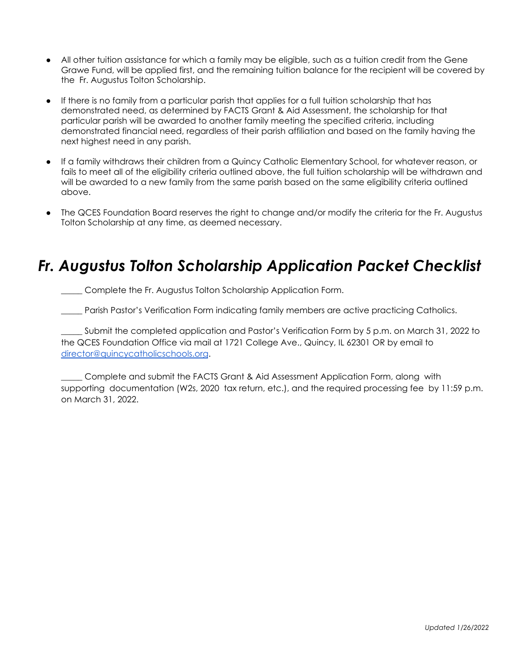- All other tuition assistance for which a family may be eligible, such as a tuition credit from the Gene Grawe Fund, will be applied first, and the remaining tuition balance for the recipient will be covered by the Fr. Augustus Tolton Scholarship.
- If there is no family from a particular parish that applies for a full tuition scholarship that has demonstrated need, as determined by FACTS Grant & Aid Assessment, the scholarship for that particular parish will be awarded to another family meeting the specified criteria, including demonstrated financial need, regardless of their parish affiliation and based on the family having the next highest need in any parish.
- If a family withdraws their children from a Quincy Catholic Elementary School, for whatever reason, or fails to meet all of the eligibility criteria outlined above, the full tuition scholarship will be withdrawn and will be awarded to a new family from the same parish based on the same eligibility criteria outlined above.
- The QCES Foundation Board reserves the right to change and/or modify the criteria for the Fr. Augustus Tolton Scholarship at any time, as deemed necessary.

#### *Fr. Augustus Tolton Scholarship Application Packet Checklist*

\_\_\_\_\_ Complete the Fr. Augustus Tolton Scholarship Application Form.

Parish Pastor's Verification Form indicating family members are active practicing Catholics.

Submit the completed application and Pastor's Verification Form by 5 p.m. on March 31, 2022 to the QCES Foundation Office via mail at 1721 College Ave., Quincy, IL 62301 OR by email to [director@quincycatholicschools.org](mailto:director@quincycatholicschools.org).

\_\_\_\_\_ Complete and submit the FACTS Grant & Aid Assessment Application Form, along with supporting documentation (W2s, 2020 tax return, etc.), and the required processing fee by 11:59 p.m. on March 31, 2022.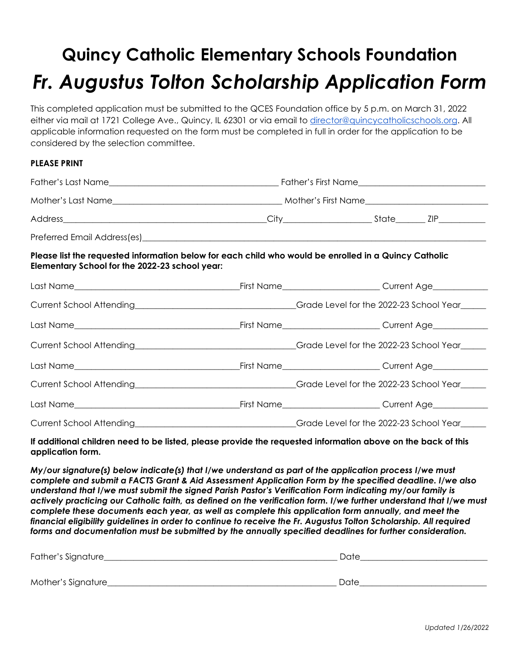## **Quincy Catholic Elementary Schools Foundation** *Fr. Augustus Tolton Scholarship Application Form*

This completed application must be submitted to the QCES Foundation office by 5 p.m. on March 31, 2022 either via mail at 1721 College Ave., Quincy, IL 62301 or via email to [director@quincycatholicschools.org](mailto:director@quincycatholicschools.org). All applicable information requested on the form must be completed in full in order for the application to be considered by the selection committee.

#### **PLEASE PRINT**

| Please list the requested information below for each child who would be enrolled in a Quincy Catholic<br>Elementary School for the 2022-23 school year: |  |                                                                                                                                                                                                                                |  |
|---------------------------------------------------------------------------------------------------------------------------------------------------------|--|--------------------------------------------------------------------------------------------------------------------------------------------------------------------------------------------------------------------------------|--|
|                                                                                                                                                         |  |                                                                                                                                                                                                                                |  |
|                                                                                                                                                         |  | Current School Attending _________________________________Grade Level for the 2022-23 School Year______                                                                                                                        |  |
|                                                                                                                                                         |  |                                                                                                                                                                                                                                |  |
|                                                                                                                                                         |  | Current School Attending _________________________________Grade Level for the 2022-23 School Year______                                                                                                                        |  |
|                                                                                                                                                         |  |                                                                                                                                                                                                                                |  |
|                                                                                                                                                         |  | Current School Attending Current School Year Current School Year Current School Year Current School Year Current School Year Current School Year Current School Year Current School Year Current School Year Current School Ye |  |
|                                                                                                                                                         |  | _First Name____________________________Current Age______________________________                                                                                                                                               |  |
|                                                                                                                                                         |  | Grade Level for the 2022-23 School Year                                                                                                                                                                                        |  |

If additional children need to be listed, please provide the requested information above on the back of this **application form.**

*My/our signature(s) below indicate(s) that I/we understand as part of the application process I/we must complete and submit a FACTS Grant & Aid Assessment Application Form by the specified deadline. I/we also understand that I/we must submit the signed Parish Pastor's Verification Form indicating my/our family is* actively practicing our Catholic faith, as defined on the verification form. I/we further understand that I/we must *complete these documents each year, as well as complete this application form annually, and meet the* financial eligibility guidelines in order to continue to receive the Fr. Augustus Tolton Scholarship. All required *forms and documentation must be submitted by the annually specified deadlines for further consideration.*

| Father's Signature  | Date |  |
|---------------------|------|--|
|                     |      |  |
| Mother's Signature_ | Date |  |